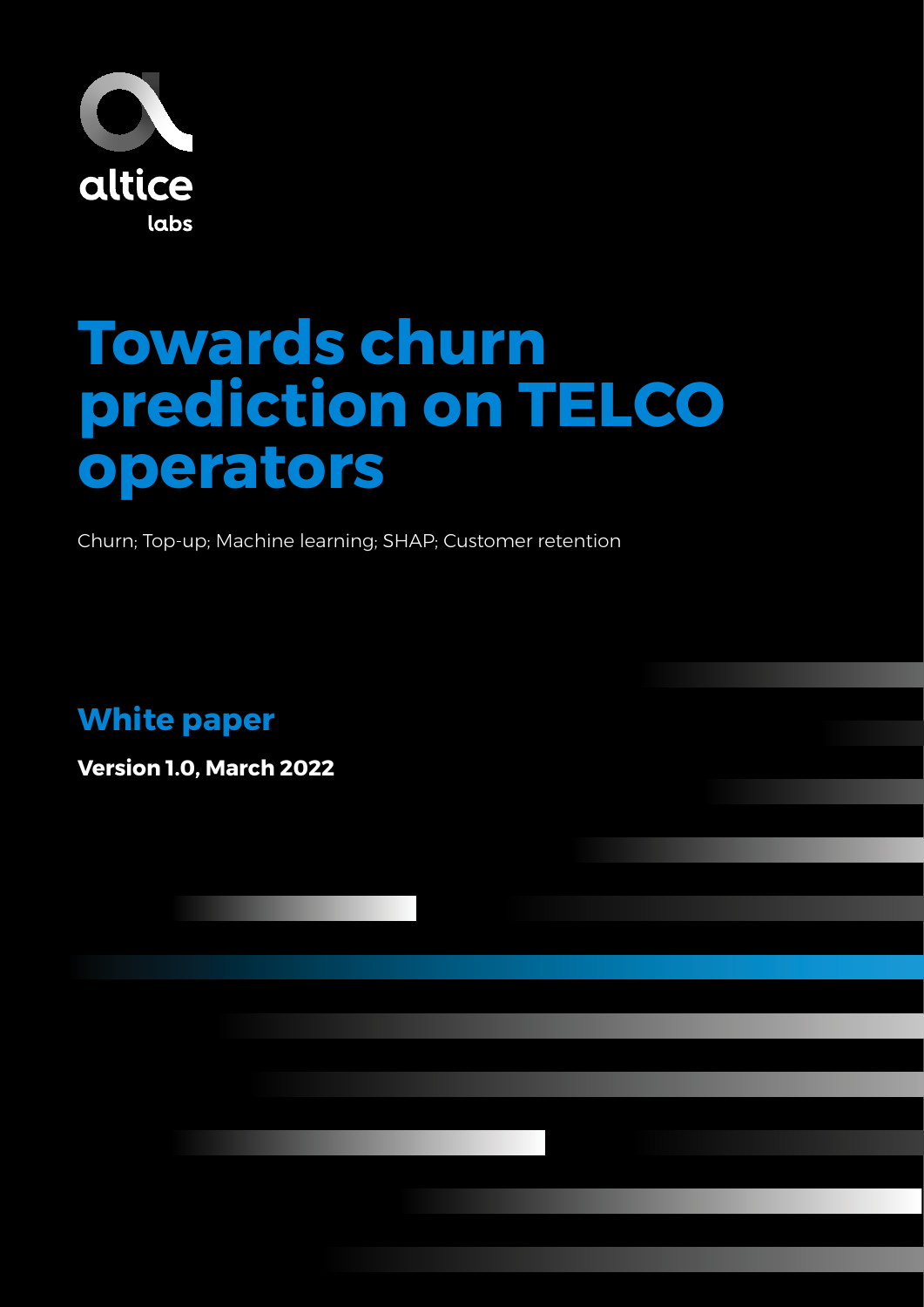

# **Towards churn prediction on TELCO operators**

Churn; Top-up; Machine learning; SHAP; Customer retention

**White paper**

**Version 1.0, March 2022**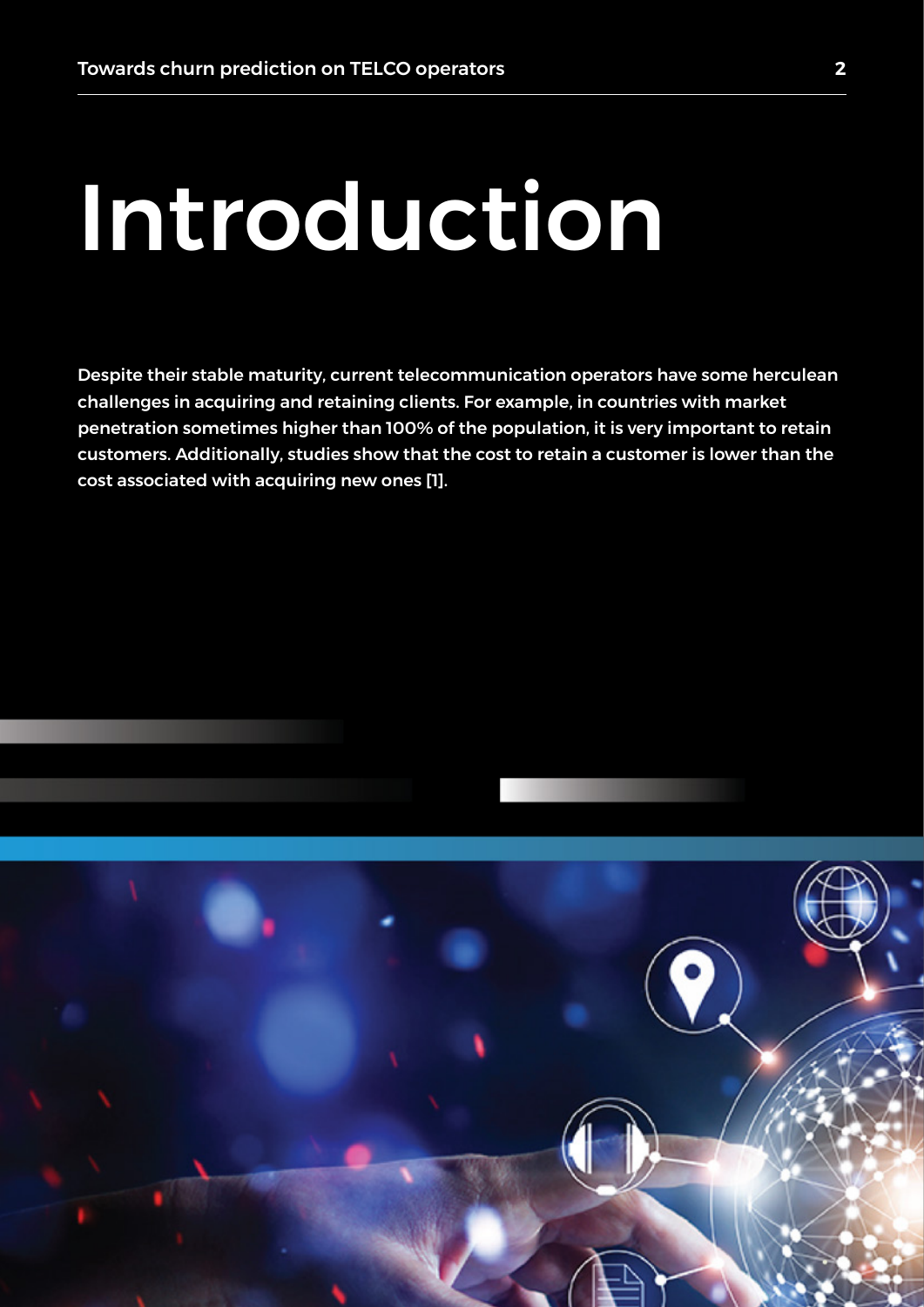# Introduction

Despite their stable maturity, current telecommunication operators have some herculean challenges in acquiring and retaining clients. For example, in countries with market penetration sometimes higher than 100% of the population, it is very important to retain customers. Additionally, studies show that the cost to retain a customer is lower than the cost associated with acquiring new ones [1].



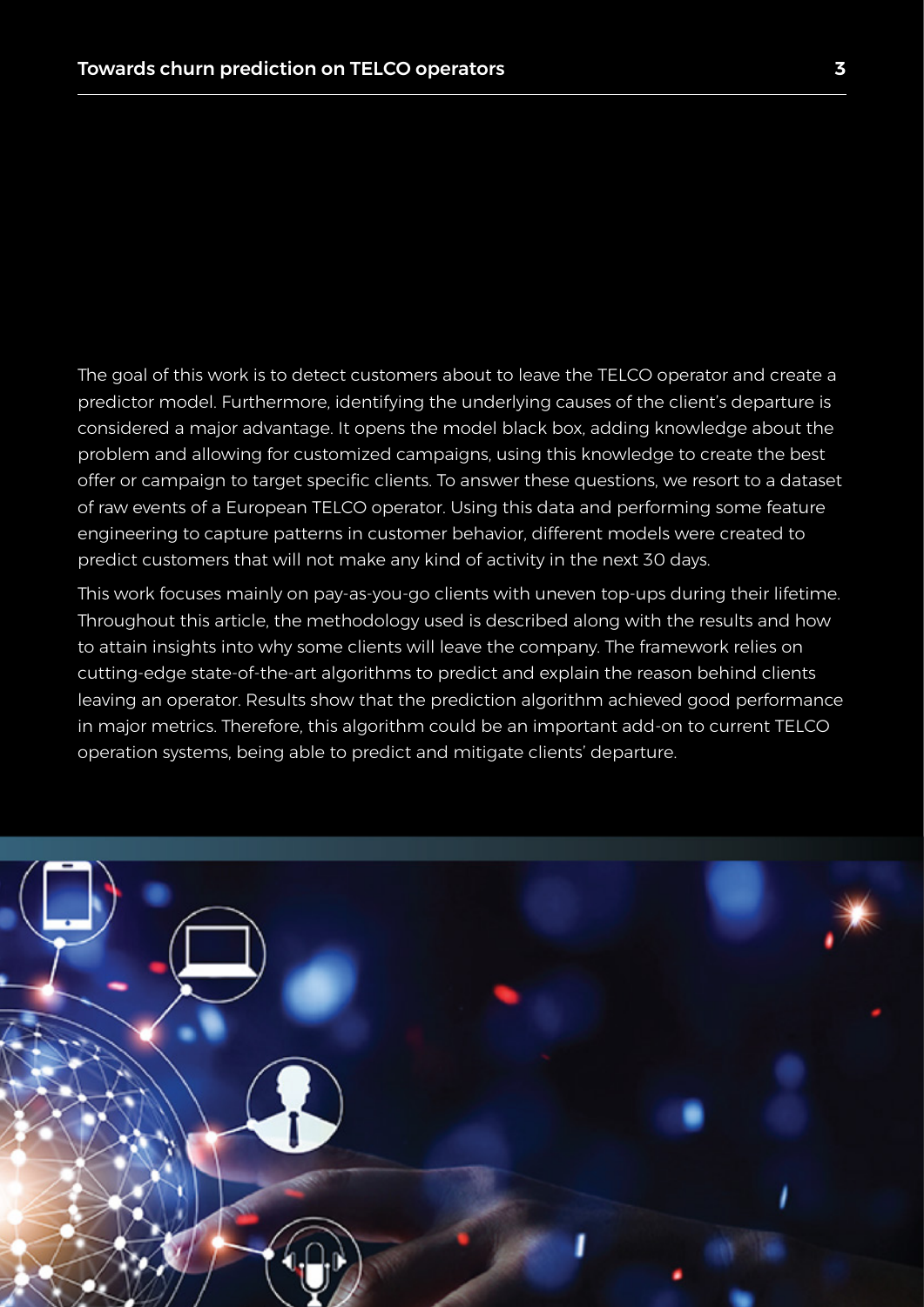The goal of this work is to detect customers about to leave the TELCO operator and create a predictor model. Furthermore, identifying the underlying causes of the client's departure is considered a major advantage. It opens the model black box, adding knowledge about the problem and allowing for customized campaigns, using this knowledge to create the best offer or campaign to target specific clients. To answer these questions, we resort to a dataset of raw events of a European TELCO operator. Using this data and performing some feature engineering to capture patterns in customer behavior, different models were created to predict customers that will not make any kind of activity in the next 30 days.

This work focuses mainly on pay-as-you-go clients with uneven top-ups during their lifetime. Throughout this article, the methodology used is described along with the results and how to attain insights into why some clients will leave the company. The framework relies on cutting-edge state-of-the-art algorithms to predict and explain the reason behind clients leaving an operator. Results show that the prediction algorithm achieved good performance in major metrics. Therefore, this algorithm could be an important add-on to current TELCO operation systems, being able to predict and mitigate clients' departure.

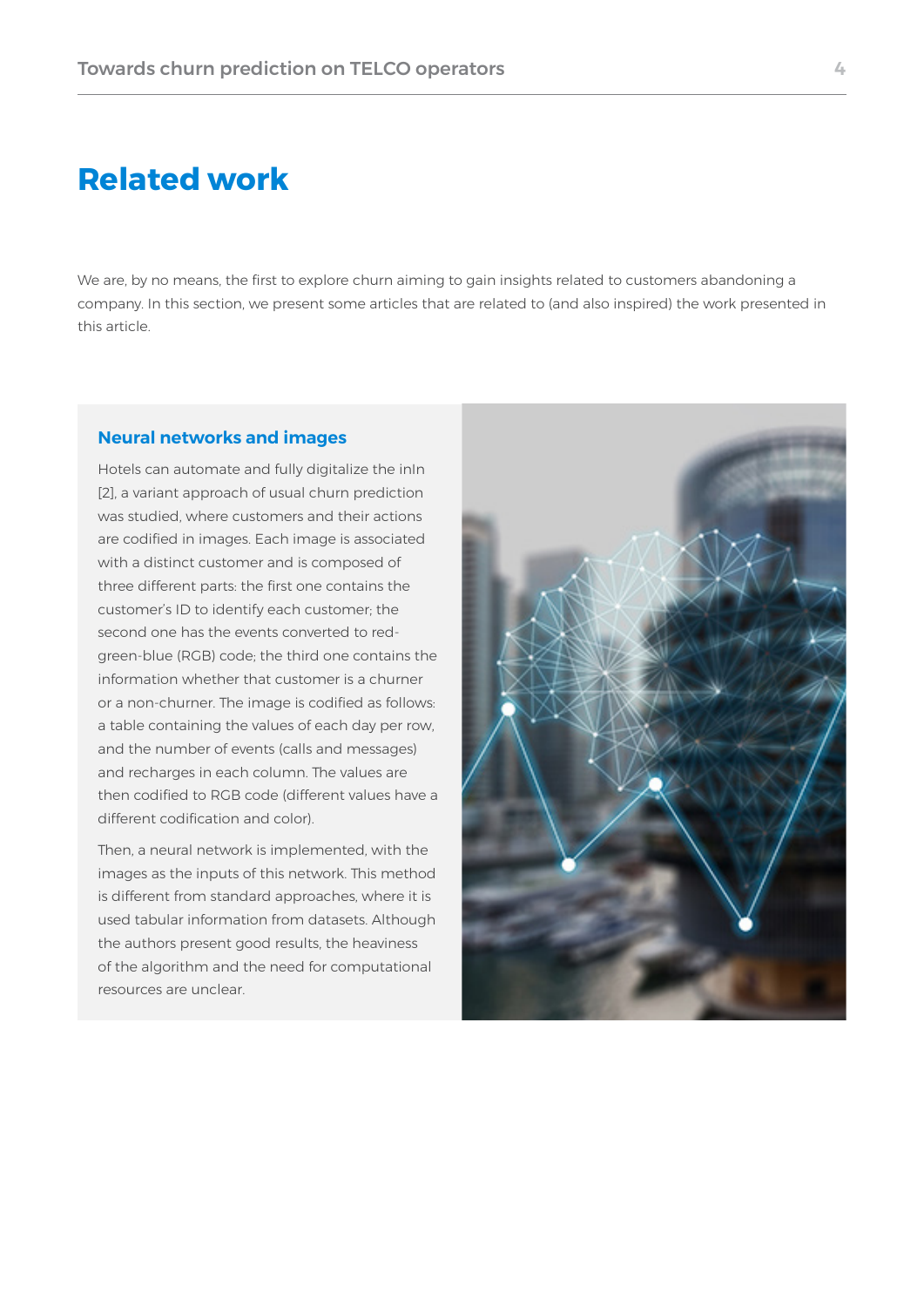### **Related work**

We are, by no means, the first to explore churn aiming to gain insights related to customers abandoning a company. In this section, we present some articles that are related to (and also inspired) the work presented in this article.

#### **Neural networks and images**

Hotels can automate and fully digitalize the inIn [2], a variant approach of usual churn prediction was studied, where customers and their actions are codified in images. Each image is associated with a distinct customer and is composed of three different parts: the first one contains the customer's ID to identify each customer; the second one has the events converted to redgreen-blue (RGB) code; the third one contains the information whether that customer is a churner or a non-churner. The image is codified as follows: a table containing the values of each day per row, and the number of events (calls and messages) and recharges in each column. The values are then codified to RGB code (different values have a different codification and color).

Then, a neural network is implemented, with the images as the inputs of this network. This method is different from standard approaches, where it is used tabular information from datasets. Although the authors present good results, the heaviness of the algorithm and the need for computational resources are unclear.

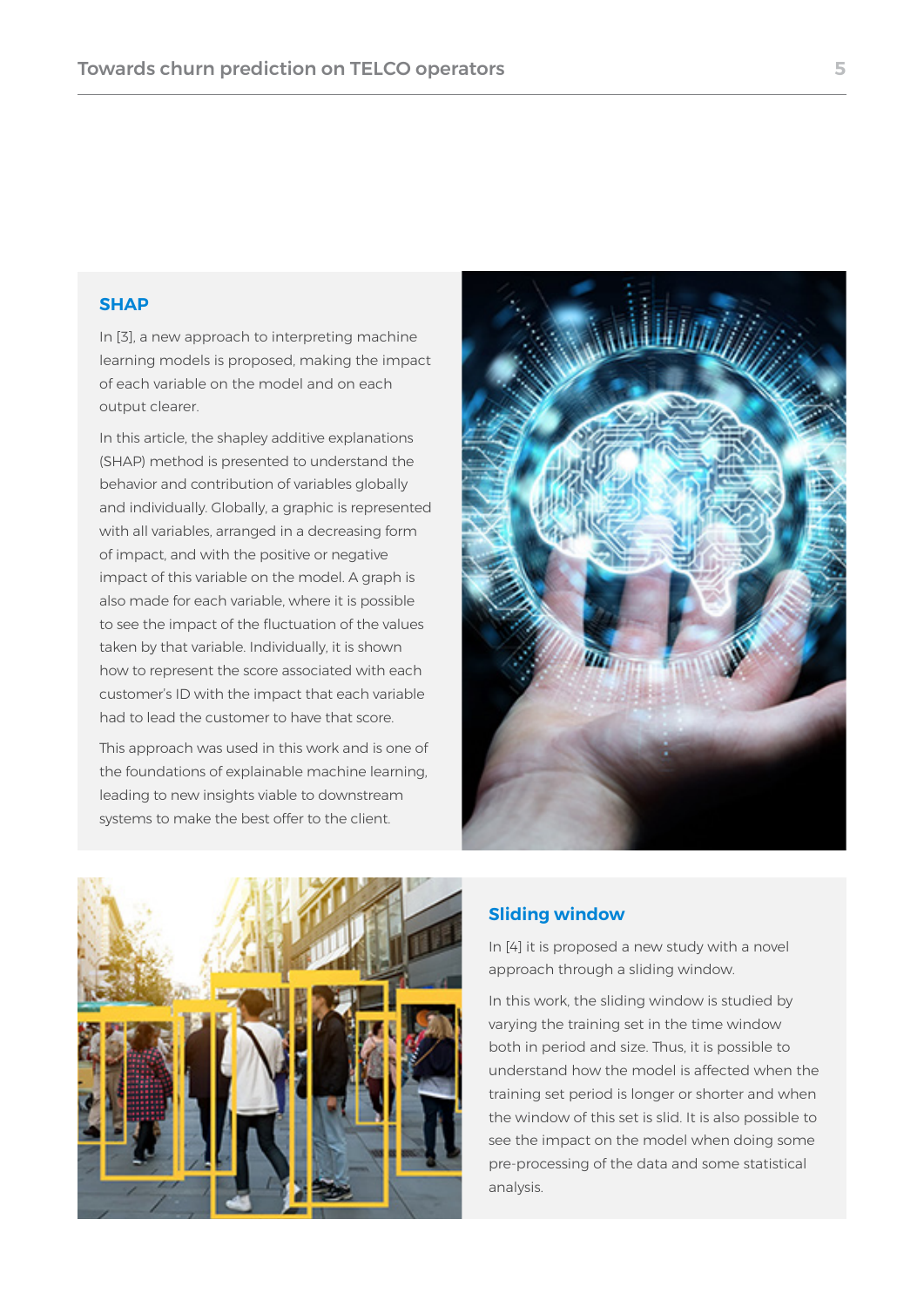#### **SHAP**

In [3], a new approach to interpreting machine learning models is proposed, making the impact of each variable on the model and on each output clearer.

In this article, the shapley additive explanations (SHAP) method is presented to understand the behavior and contribution of variables globally and individually. Globally, a graphic is represented with all variables, arranged in a decreasing form of impact, and with the positive or negative impact of this variable on the model. A graph is also made for each variable, where it is possible to see the impact of the fluctuation of the values taken by that variable. Individually, it is shown how to represent the score associated with each customer's ID with the impact that each variable had to lead the customer to have that score.

This approach was used in this work and is one of the foundations of explainable machine learning, leading to new insights viable to downstream systems to make the best offer to the client.





#### **Sliding window**

In [4] it is proposed a new study with a novel approach through a sliding window.

In this work, the sliding window is studied by varying the training set in the time window both in period and size. Thus, it is possible to understand how the model is affected when the training set period is longer or shorter and when the window of this set is slid. It is also possible to see the impact on the model when doing some pre-processing of the data and some statistical analysis.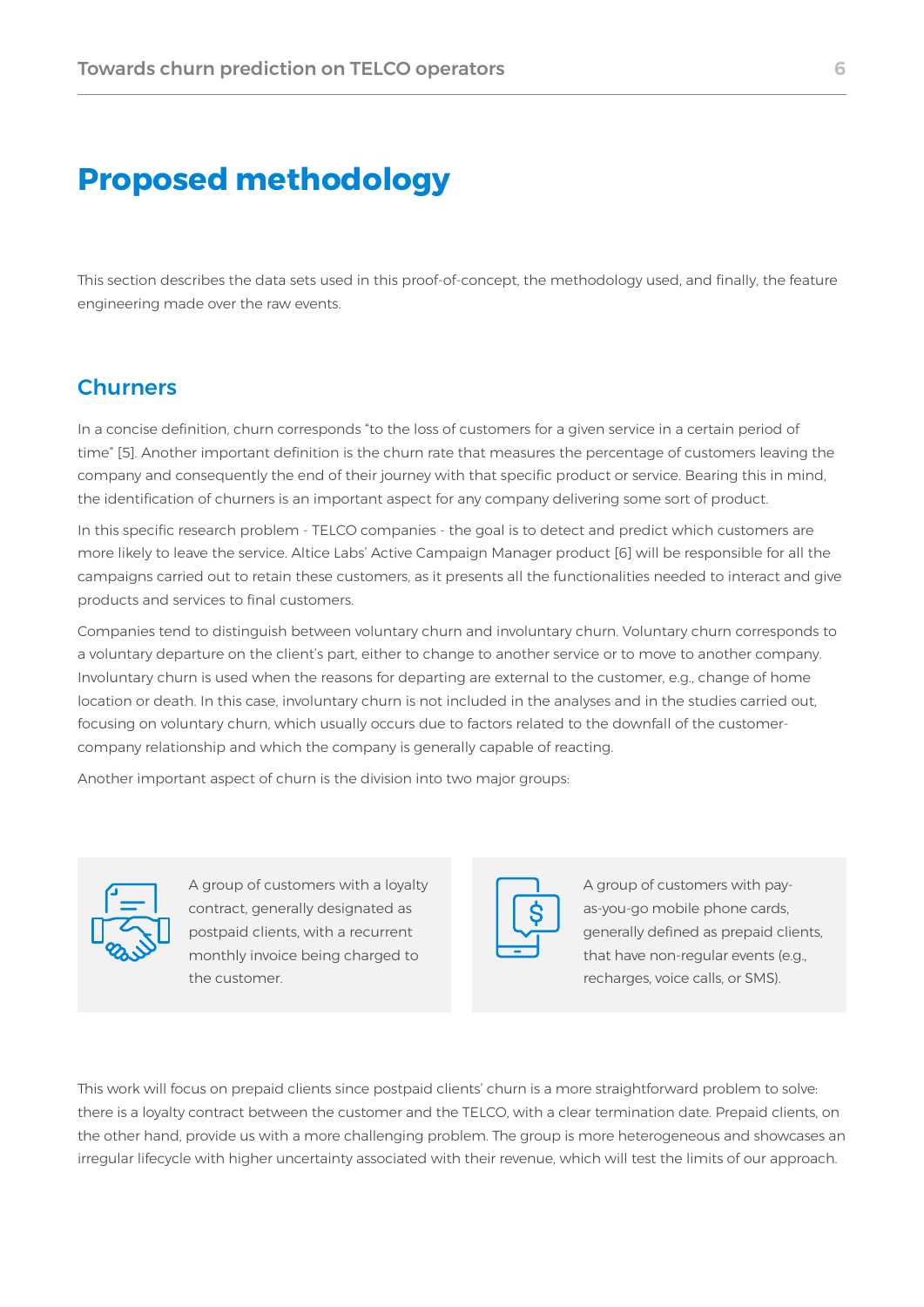# **Proposed methodology**

This section describes the data sets used in this proof-of-concept, the methodology used, and finally, the feature engineering made over the raw events.

#### **Churners**

In a concise definition, churn corresponds "to the loss of customers for a given service in a certain period of time" [5]. Another important definition is the churn rate that measures the percentage of customers leaving the company and consequently the end of their journey with that specific product or service. Bearing this in mind, the identification of churners is an important aspect for any company delivering some sort of product.

In this specific research problem - TELCO companies - the goal is to detect and predict which customers are more likely to leave the service. Altice Labs' Active Campaign Manager product [6] will be responsible for all the campaigns carried out to retain these customers, as it presents all the functionalities needed to interact and give products and services to final customers.

Companies tend to distinguish between voluntary churn and involuntary churn. Voluntary churn corresponds to a voluntary departure on the client's part, either to change to another service or to move to another company. Involuntary churn is used when the reasons for departing are external to the customer, e.g., change of home location or death. In this case, involuntary churn is not included in the analyses and in the studies carried out, focusing on voluntary churn, which usually occurs due to factors related to the downfall of the customercompany relationship and which the company is generally capable of reacting.

Another important aspect of churn is the division into two major groups:



A group of customers with a loyalty contract, generally designated as postpaid clients, with a recurrent monthly invoice being charged to the customer.



A group of customers with payas-you-go mobile phone cards, generally defined as prepaid clients, that have non-regular events (e.g., recharges, voice calls, or SMS).

This work will focus on prepaid clients since postpaid clients' churn is a more straightforward problem to solve: there is a loyalty contract between the customer and the TELCO, with a clear termination date. Prepaid clients, on the other hand, provide us with a more challenging problem. The group is more heterogeneous and showcases an irregular lifecycle with higher uncertainty associated with their revenue, which will test the limits of our approach.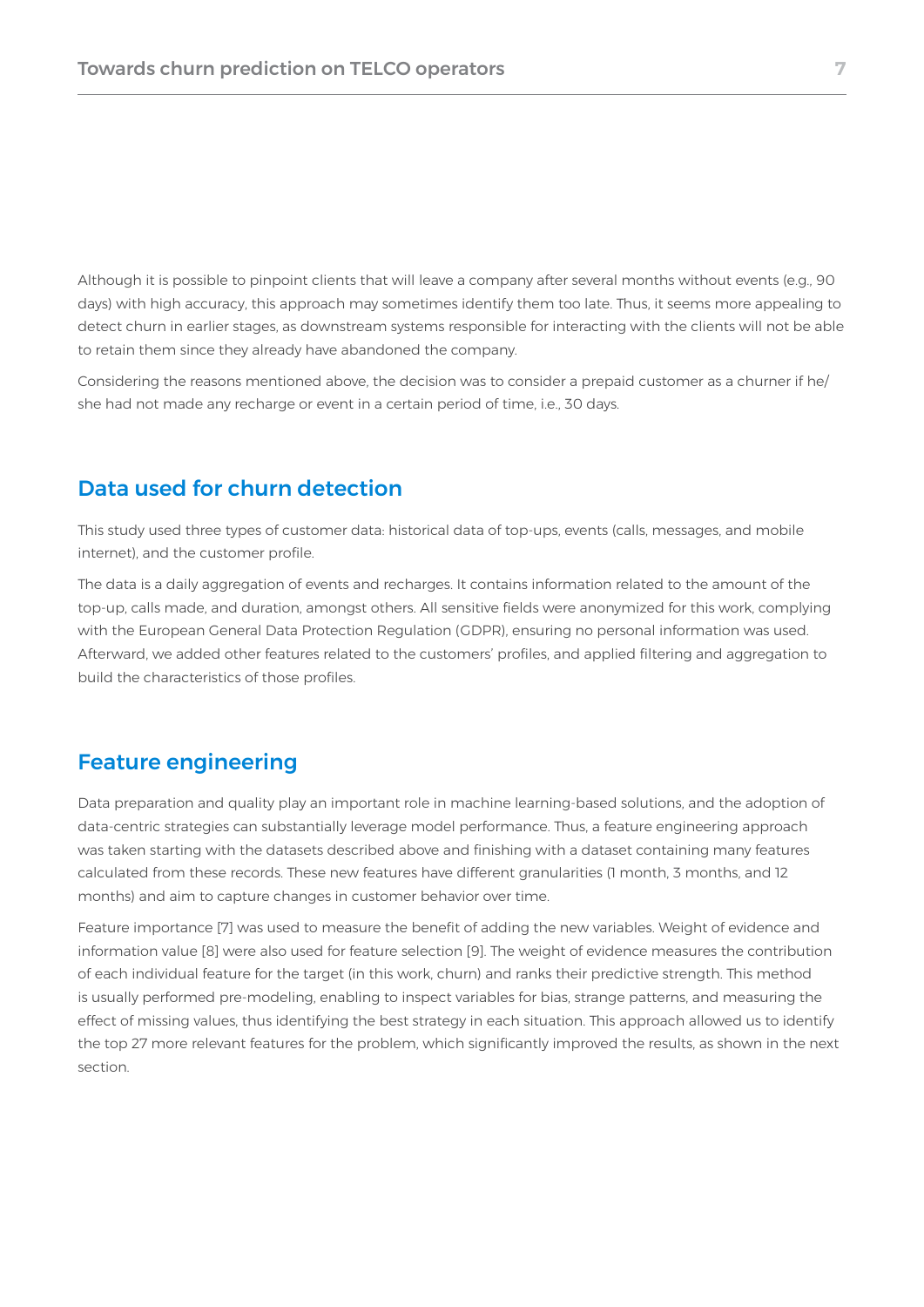Although it is possible to pinpoint clients that will leave a company after several months without events (e.g., 90 days) with high accuracy, this approach may sometimes identify them too late. Thus, it seems more appealing to detect churn in earlier stages, as downstream systems responsible for interacting with the clients will not be able to retain them since they already have abandoned the company.

Considering the reasons mentioned above, the decision was to consider a prepaid customer as a churner if he/ she had not made any recharge or event in a certain period of time, i.e., 30 days.

#### Data used for churn detection

This study used three types of customer data: historical data of top-ups, events (calls, messages, and mobile internet), and the customer profile.

The data is a daily aggregation of events and recharges. It contains information related to the amount of the top-up, calls made, and duration, amongst others. All sensitive fields were anonymized for this work, complying with the European General Data Protection Regulation (GDPR), ensuring no personal information was used. Afterward, we added other features related to the customers' profiles, and applied filtering and aggregation to build the characteristics of those profiles.

#### Feature engineering

Data preparation and quality play an important role in machine learning-based solutions, and the adoption of data-centric strategies can substantially leverage model performance. Thus, a feature engineering approach was taken starting with the datasets described above and finishing with a dataset containing many features calculated from these records. These new features have different granularities (1 month, 3 months, and 12 months) and aim to capture changes in customer behavior over time.

Feature importance [7] was used to measure the benefit of adding the new variables. Weight of evidence and information value [8] were also used for feature selection [9]. The weight of evidence measures the contribution of each individual feature for the target (in this work, churn) and ranks their predictive strength. This method is usually performed pre-modeling, enabling to inspect variables for bias, strange patterns, and measuring the effect of missing values, thus identifying the best strategy in each situation. This approach allowed us to identify the top 27 more relevant features for the problem, which significantly improved the results, as shown in the next section.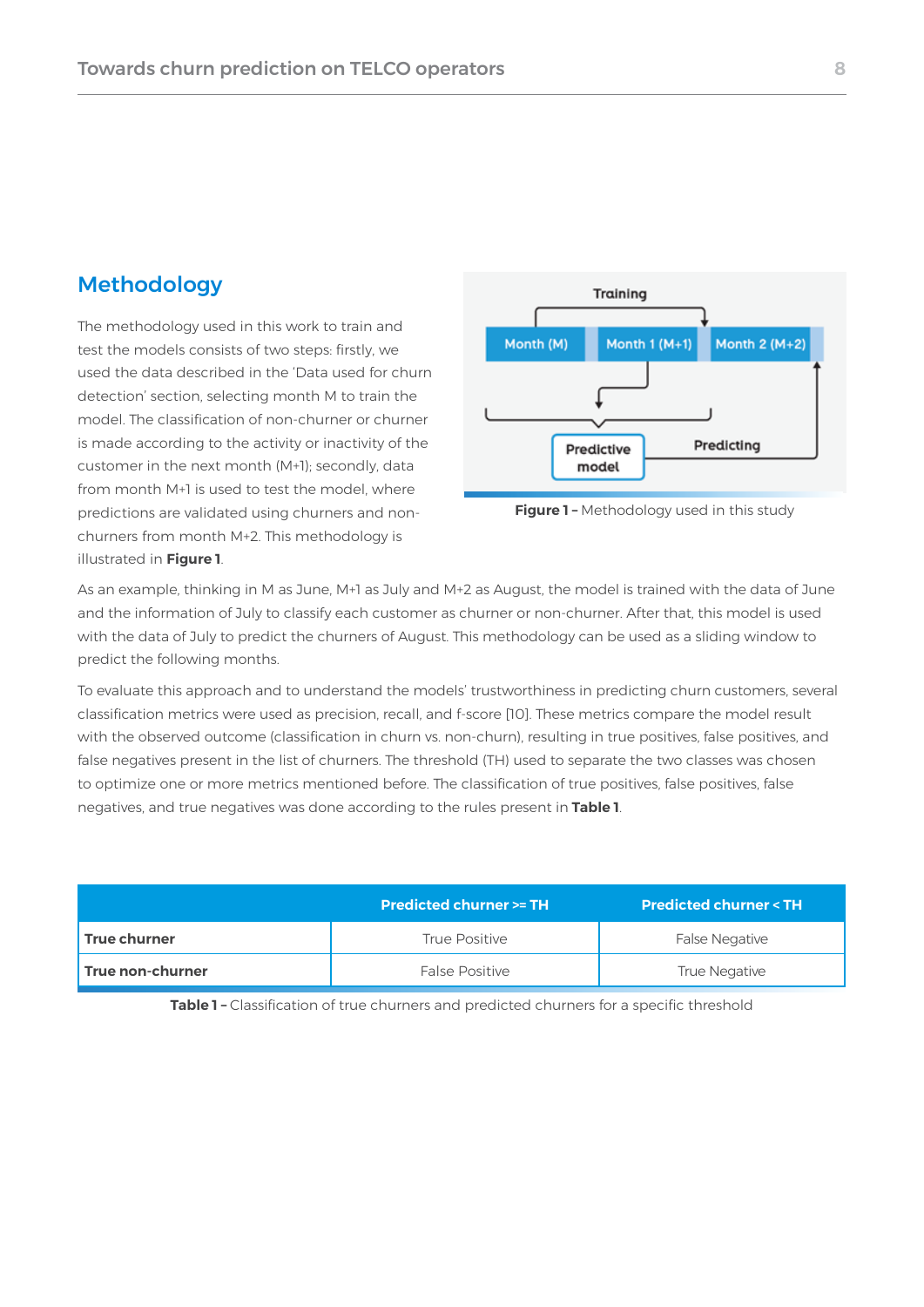#### Methodology

The methodology used in this work to train and test the models consists of two steps: firstly, we used the data described in the 'Data used for churn detection' section, selecting month M to train the model. The classification of non-churner or churner is made according to the activity or inactivity of the customer in the next month (M+1); secondly, data from month M+1 is used to test the model, where predictions are validated using churners and nonchurners from month M+2. This methodology is illustrated in **Figure 1**.



**Figure 1 –** Methodology used in this study

As an example, thinking in M as June, M+1 as July and M+2 as August, the model is trained with the data of June and the information of July to classify each customer as churner or non-churner. After that, this model is used with the data of July to predict the churners of August. This methodology can be used as a sliding window to predict the following months.

To evaluate this approach and to understand the models' trustworthiness in predicting churn customers, several classification metrics were used as precision, recall, and f-score [10]. These metrics compare the model result with the observed outcome (classification in churn vs. non-churn), resulting in true positives, false positives, and false negatives present in the list of churners. The threshold (TH) used to separate the two classes was chosen to optimize one or more metrics mentioned before. The classification of true positives, false positives, false negatives, and true negatives was done according to the rules present in **Table 1**.

|                  | <b>Predicted churner &gt;= TH</b> | <b>Predicted churner &lt; TH</b> |  |
|------------------|-----------------------------------|----------------------------------|--|
| True churner     | True Positive                     | <b>False Negative</b>            |  |
| True non-churner | <b>False Positive</b>             | True Negative                    |  |

**Table 1 –** Classification of true churners and predicted churners for a specific threshold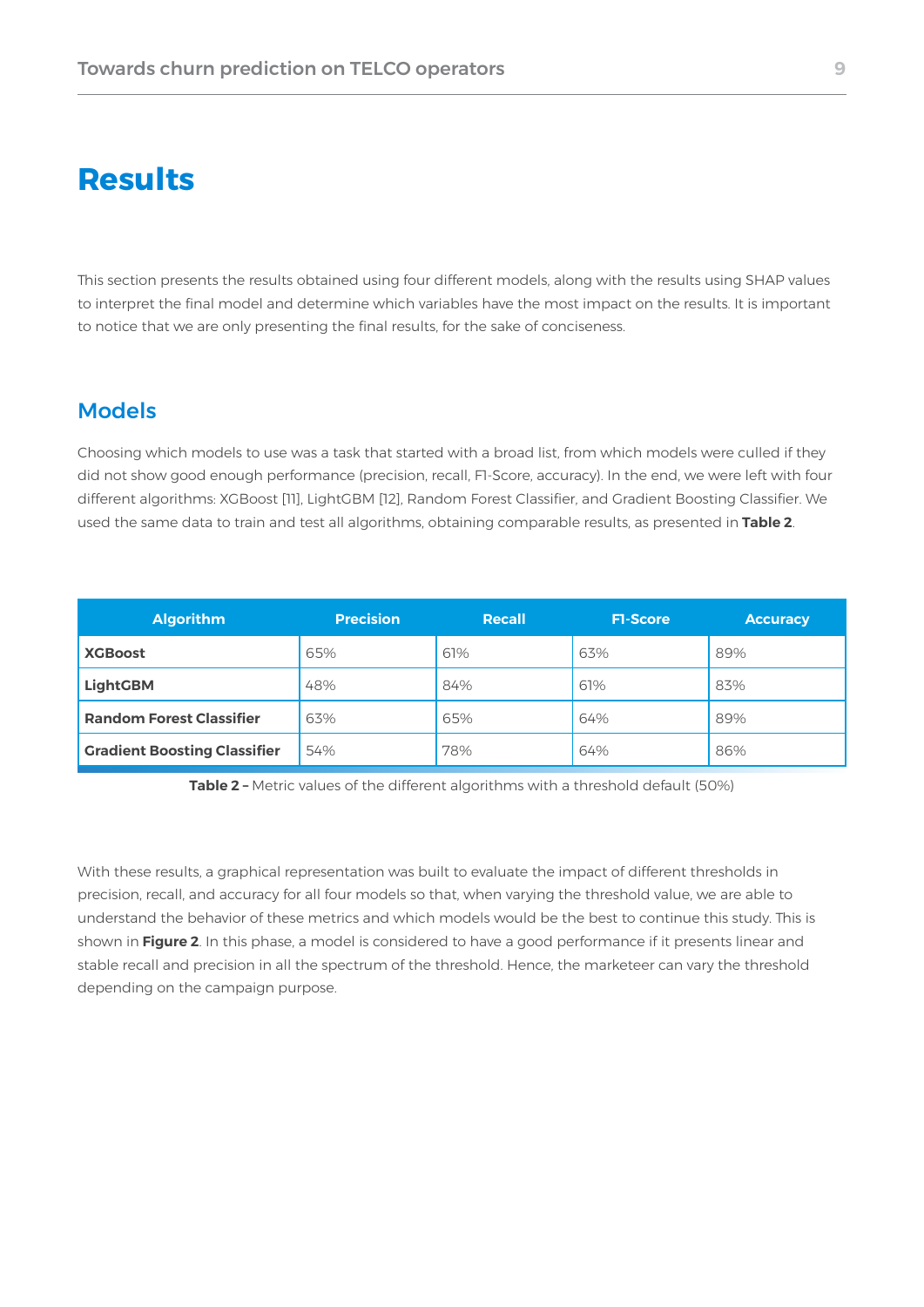# **Results**

This section presents the results obtained using four different models, along with the results using SHAP values to interpret the final model and determine which variables have the most impact on the results. It is important to notice that we are only presenting the final results, for the sake of conciseness.

#### Models

Choosing which models to use was a task that started with a broad list, from which models were culled if they did not show good enough performance (precision, recall, F1-Score, accuracy). In the end, we were left with four different algorithms: XGBoost [11], LightGBM [12], Random Forest Classifier, and Gradient Boosting Classifier. We used the same data to train and test all algorithms, obtaining comparable results, as presented in **Table 2**.

| <b>Algorithm</b>                    | <b>Precision</b> | <b>Recall</b> | <b>FI-Score</b> | <b>Accuracy</b> |
|-------------------------------------|------------------|---------------|-----------------|-----------------|
| <b>XGBoost</b>                      | 65%              | 61%           | 63%             | 89%             |
| <b>LightGBM</b>                     | 48%              | 84%           | 61%             | 83%             |
| <b>Random Forest Classifier</b>     | 63%              | 65%           | 64%             | 89%             |
| <b>Gradient Boosting Classifier</b> | 54%              | 78%           | 64%             | 86%             |

**Table 2 –** Metric values of the different algorithms with a threshold default (50%)

With these results, a graphical representation was built to evaluate the impact of different thresholds in precision, recall, and accuracy for all four models so that, when varying the threshold value, we are able to understand the behavior of these metrics and which models would be the best to continue this study. This is shown in **Figure 2**. In this phase, a model is considered to have a good performance if it presents linear and stable recall and precision in all the spectrum of the threshold. Hence, the marketeer can vary the threshold depending on the campaign purpose.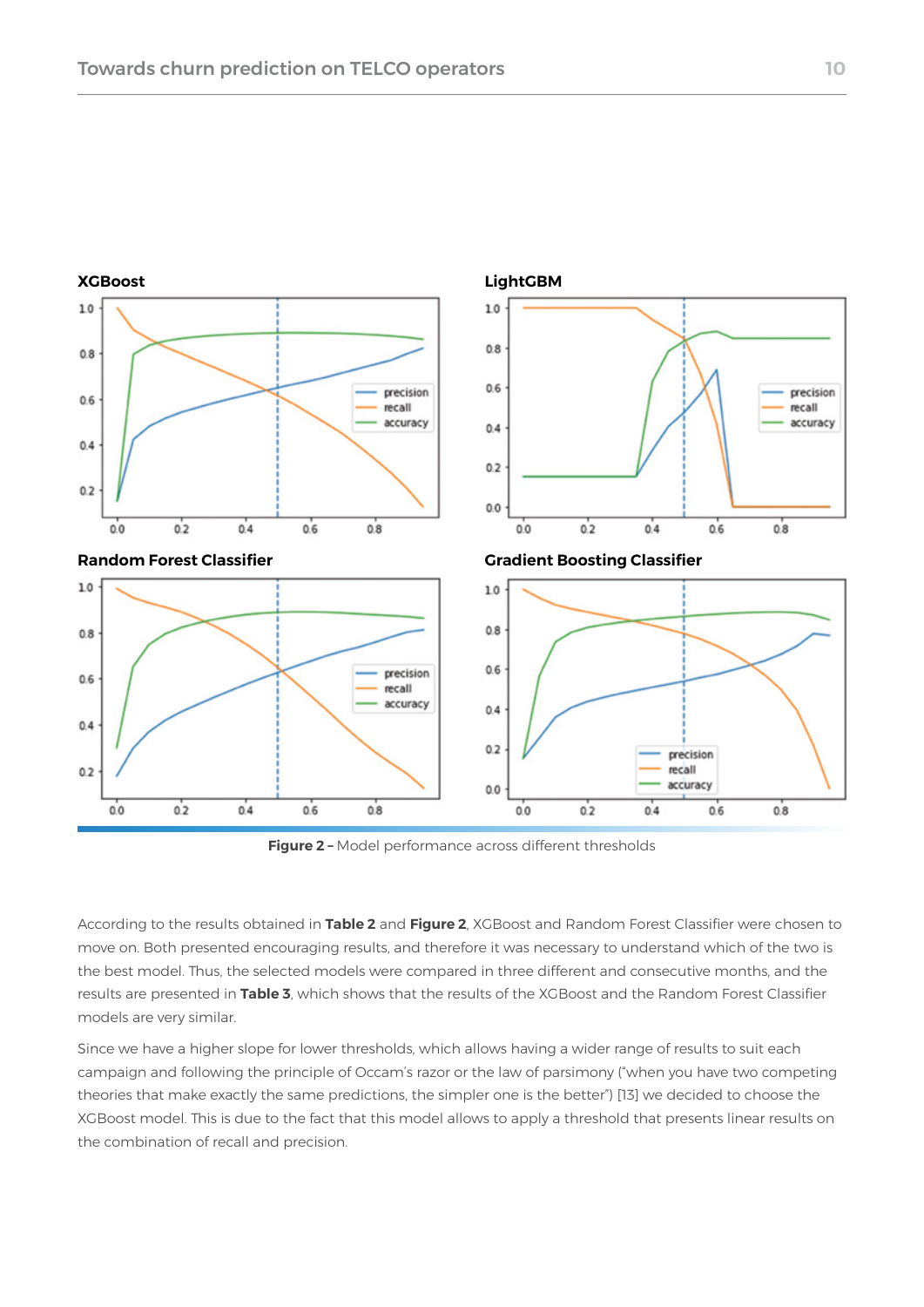

**Figure 2 –** Model performance across different thresholds

According to the results obtained in **Table 2** and **Figure 2**, XGBoost and Random Forest Classifier were chosen to move on. Both presented encouraging results, and therefore it was necessary to understand which of the two is the best model. Thus, the selected models were compared in three different and consecutive months, and the results are presented in **Table 3**, which shows that the results of the XGBoost and the Random Forest Classifier models are very similar.

Since we have a higher slope for lower thresholds, which allows having a wider range of results to suit each campaign and following the principle of Occam's razor or the law of parsimony ("when you have two competing theories that make exactly the same predictions, the simpler one is the better") [13] we decided to choose the XGBoost model. This is due to the fact that this model allows to apply a threshold that presents linear results on the combination of recall and precision.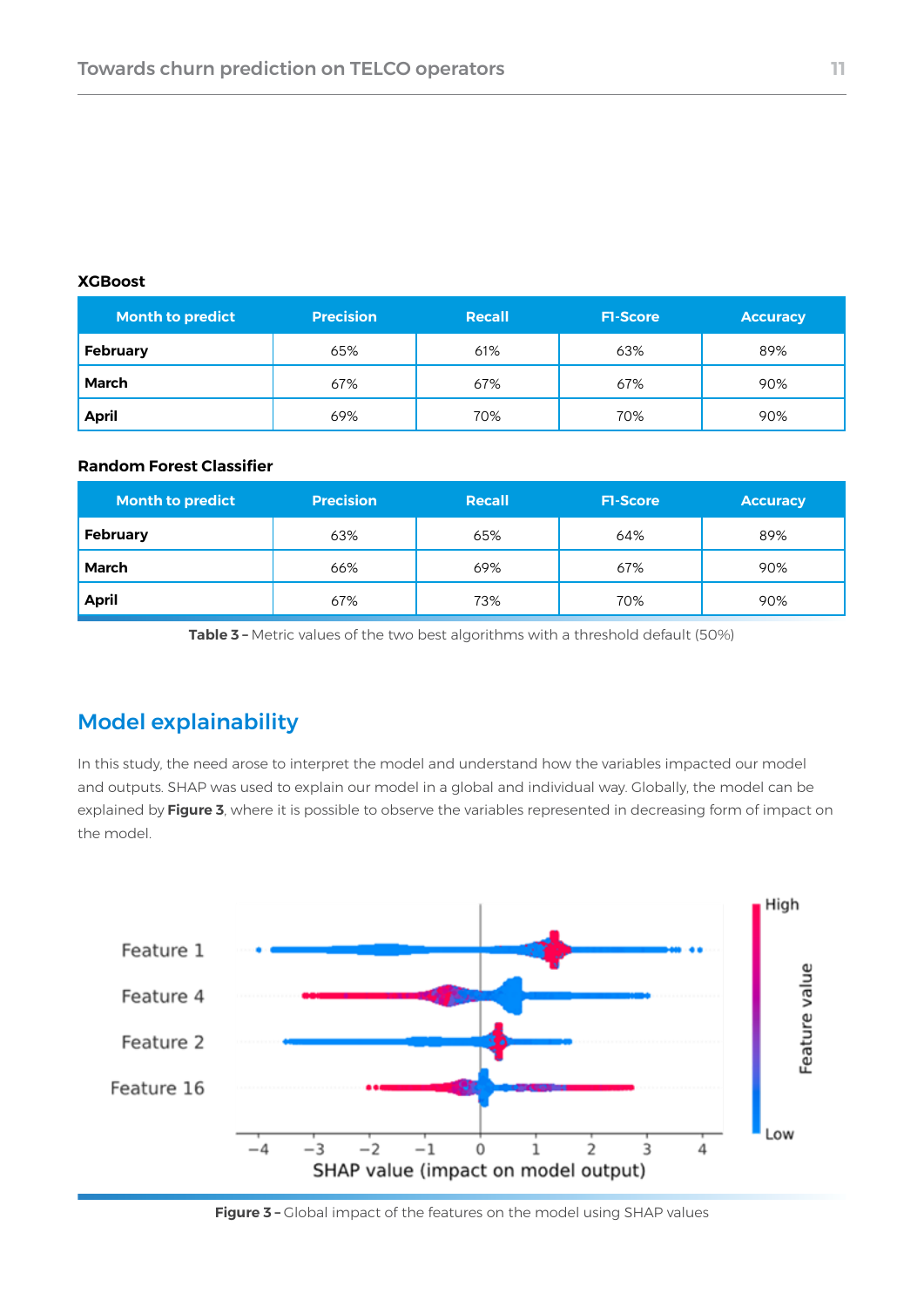#### **XGBoost**

| <b>Month to predict</b> | <b>Precision</b> | Recall | <b>FI-Score</b> | <b>Accuracy</b> |
|-------------------------|------------------|--------|-----------------|-----------------|
| February                | 65%              | 61%    | 63%             | 89%             |
| March                   | 67%              | 67%    | 67%             | 90%             |
| <b>April</b>            | 69%              | 70%    | 70%             | 90%             |

#### **Random Forest Classifier**

| <b>Month to predict</b> | <b>Precision</b> | Recall | <b>FI-Score</b> | <b>Accuracy</b> |
|-------------------------|------------------|--------|-----------------|-----------------|
| <b>February</b>         | 63%              | 65%    | 64%             | 89%             |
| March                   | 66%              | 69%    | 67%             | 90%             |
| <b>April</b>            | 67%              | 73%    | 70%             | 90%             |

**Table 3 –** Metric values of the two best algorithms with a threshold default (50%)

#### Model explainability

In this study, the need arose to interpret the model and understand how the variables impacted our model and outputs. SHAP was used to explain our model in a global and individual way. Globally, the model can be explained by **Figure 3**, where it is possible to observe the variables represented in decreasing form of impact on the model.



**Figure 3 –** Global impact of the features on the model using SHAP values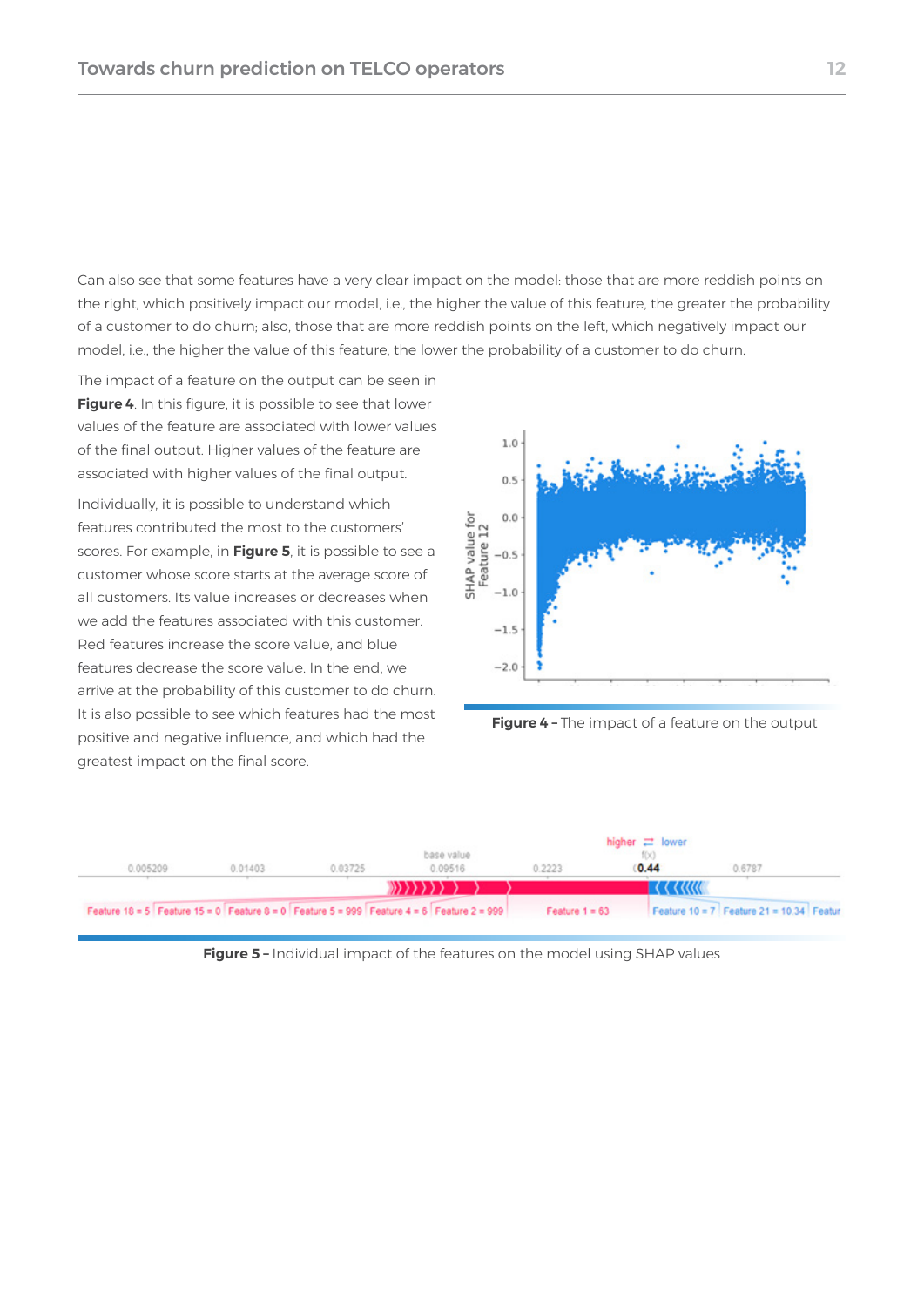Can also see that some features have a very clear impact on the model: those that are more reddish points on the right, which positively impact our model, i.e., the higher the value of this feature, the greater the probability of a customer to do churn; also, those that are more reddish points on the left, which negatively impact our model, i.e., the higher the value of this feature, the lower the probability of a customer to do churn.

The impact of a feature on the output can be seen in **Figure 4**. In this figure, it is possible to see that lower values of the feature are associated with lower values of the final output. Higher values of the feature are associated with higher values of the final output.

Individually, it is possible to understand which features contributed the most to the customers' scores. For example, in **Figure 5**, it is possible to see a customer whose score starts at the average score of all customers. Its value increases or decreases when we add the features associated with this customer. Red features increase the score value, and blue features decrease the score value. In the end, we arrive at the probability of this customer to do churn. It is also possible to see which features had the most positive and negative influence, and which had the greatest impact on the final score.



**Figure 4 –** The impact of a feature on the output



**Figure 5 –** Individual impact of the features on the model using SHAP values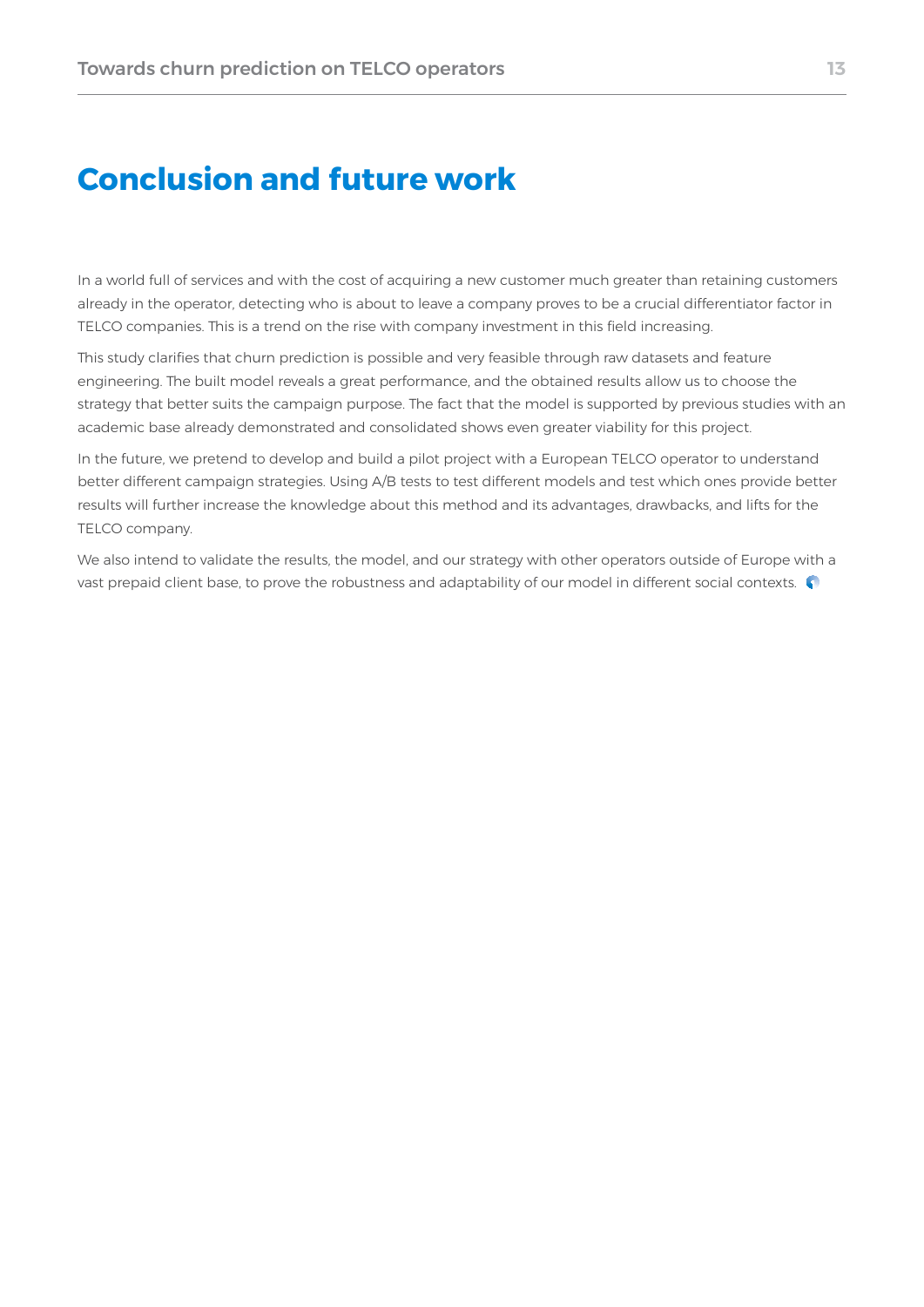# **Conclusion and future work**

In a world full of services and with the cost of acquiring a new customer much greater than retaining customers already in the operator, detecting who is about to leave a company proves to be a crucial differentiator factor in TELCO companies. This is a trend on the rise with company investment in this field increasing.

This study clarifies that churn prediction is possible and very feasible through raw datasets and feature engineering. The built model reveals a great performance, and the obtained results allow us to choose the strategy that better suits the campaign purpose. The fact that the model is supported by previous studies with an academic base already demonstrated and consolidated shows even greater viability for this project.

In the future, we pretend to develop and build a pilot project with a European TELCO operator to understand better different campaign strategies. Using A/B tests to test different models and test which ones provide better results will further increase the knowledge about this method and its advantages, drawbacks, and lifts for the TELCO company.

We also intend to validate the results, the model, and our strategy with other operators outside of Europe with a vast prepaid client base, to prove the robustness and adaptability of our model in different social contexts.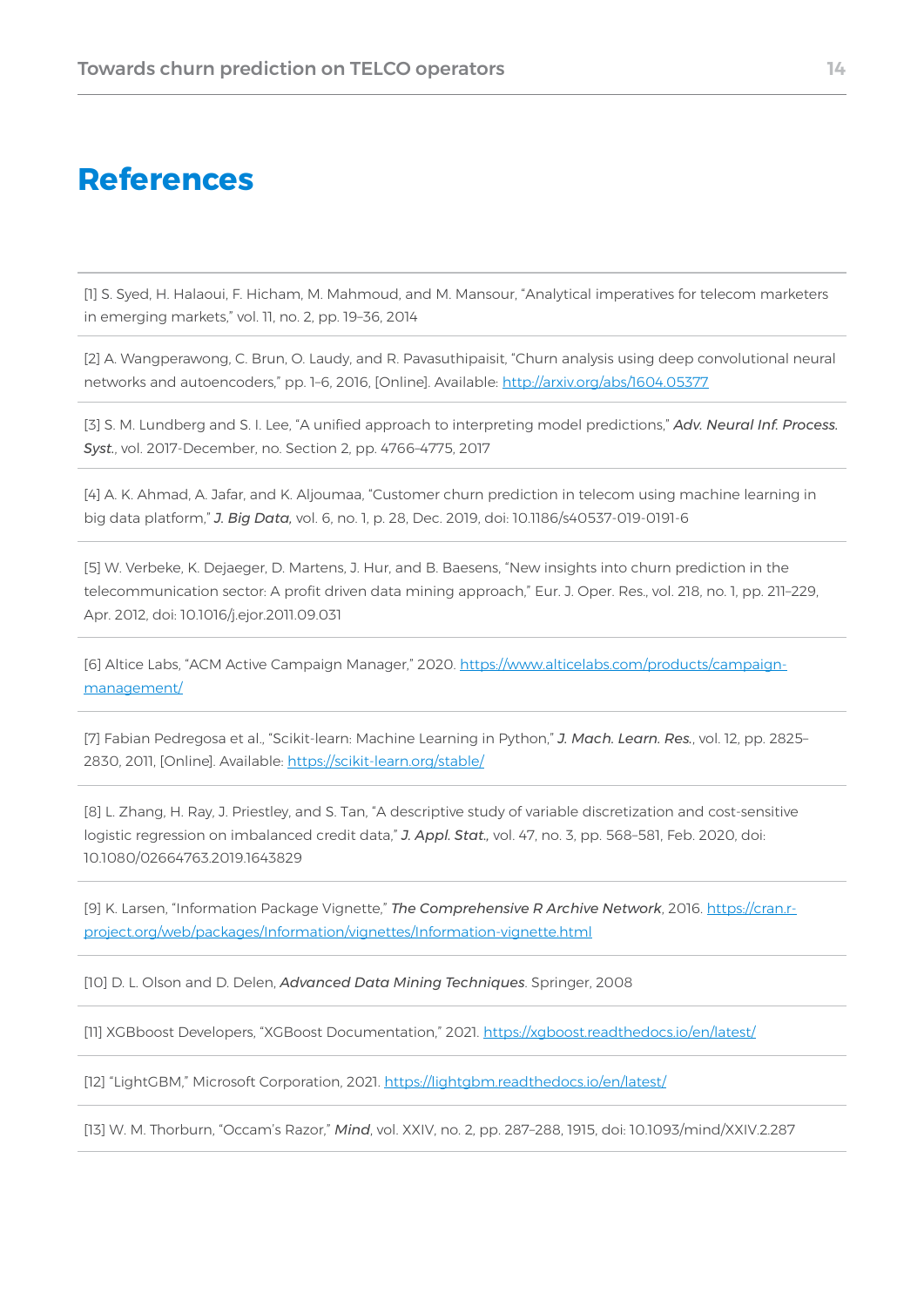## **References**

[1] S. Syed, H. Halaoui, F. Hicham, M. Mahmoud, and M. Mansour, "Analytical imperatives for telecom marketers in emerging markets," vol. 11, no. 2, pp. 19–36, 2014

[2] A. Wangperawong, C. Brun, O. Laudy, and R. Pavasuthipaisit, "Churn analysis using deep convolutional neural networks and autoencoders," pp. 1-6, 2016, [Online]. Available: <http://arxiv.org/abs/1604.05377>

[3] S. M. Lundberg and S. I. Lee, "A unified approach to interpreting model predictions," *Adv. Neural Inf. Process. Syst.*, vol. 2017-December, no. Section 2, pp. 4766–4775, 2017

[4] A. K. Ahmad, A. Jafar, and K. Aljoumaa, "Customer churn prediction in telecom using machine learning in big data platform," *J. Big Data,* vol. 6, no. 1, p. 28, Dec. 2019, doi: 10.1186/s40537-019-0191-6

[5] W. Verbeke, K. Dejaeger, D. Martens, J. Hur, and B. Baesens, "New insights into churn prediction in the telecommunication sector: A profit driven data mining approach," Eur. J. Oper. Res., vol. 218, no. 1, pp. 211–229, Apr. 2012, doi: 10.1016/j.ejor.2011.09.031

[6] Altice Labs, "ACM Active Campaign Manager," 2020. [https://www.alticelabs.com/products/campaign](https://www.alticelabs.com/products/campaign-management/)[management/](https://www.alticelabs.com/products/campaign-management/)

[7] Fabian Pedregosa et al., "Scikit-learn: Machine Learning in Python," *J. Mach. Learn. Res.*, vol. 12, pp. 2825– 2830, 2011, [Online]. Available:<https://scikit-learn.org/stable/>

[8] L. Zhang, H. Ray, J. Priestley, and S. Tan, "A descriptive study of variable discretization and cost-sensitive logistic regression on imbalanced credit data," *J. Appl. Stat.,* vol. 47, no. 3, pp. 568–581, Feb. 2020, doi: 10.1080/02664763.2019.1643829

[9] K. Larsen, "Information Package Vignette," *The Comprehensive R Archive Network*, 2016. [https://cran.r](https://cran.r-project.org/web/packages/Information/vignettes/Information-vignette.html)[project.org/web/packages/Information/vignettes/Information-vignette.html](https://cran.r-project.org/web/packages/Information/vignettes/Information-vignette.html)

[10] D. L. Olson and D. Delen, *Advanced Data Mining Techniques*. Springer, 2008

[11] XGBboost Developers, "XGBoost Documentation," 2021. <https://xgboost.readthedocs.io/en/latest/>

[12] "LightGBM," Microsoft Corporation, 2021. <https://lightgbm.readthedocs.io/en/latest/>

[13] W. M. Thorburn, "Occam's Razor," *Mind*, vol. XXIV, no. 2, pp. 287–288, 1915, doi: 10.1093/mind/XXIV.2.287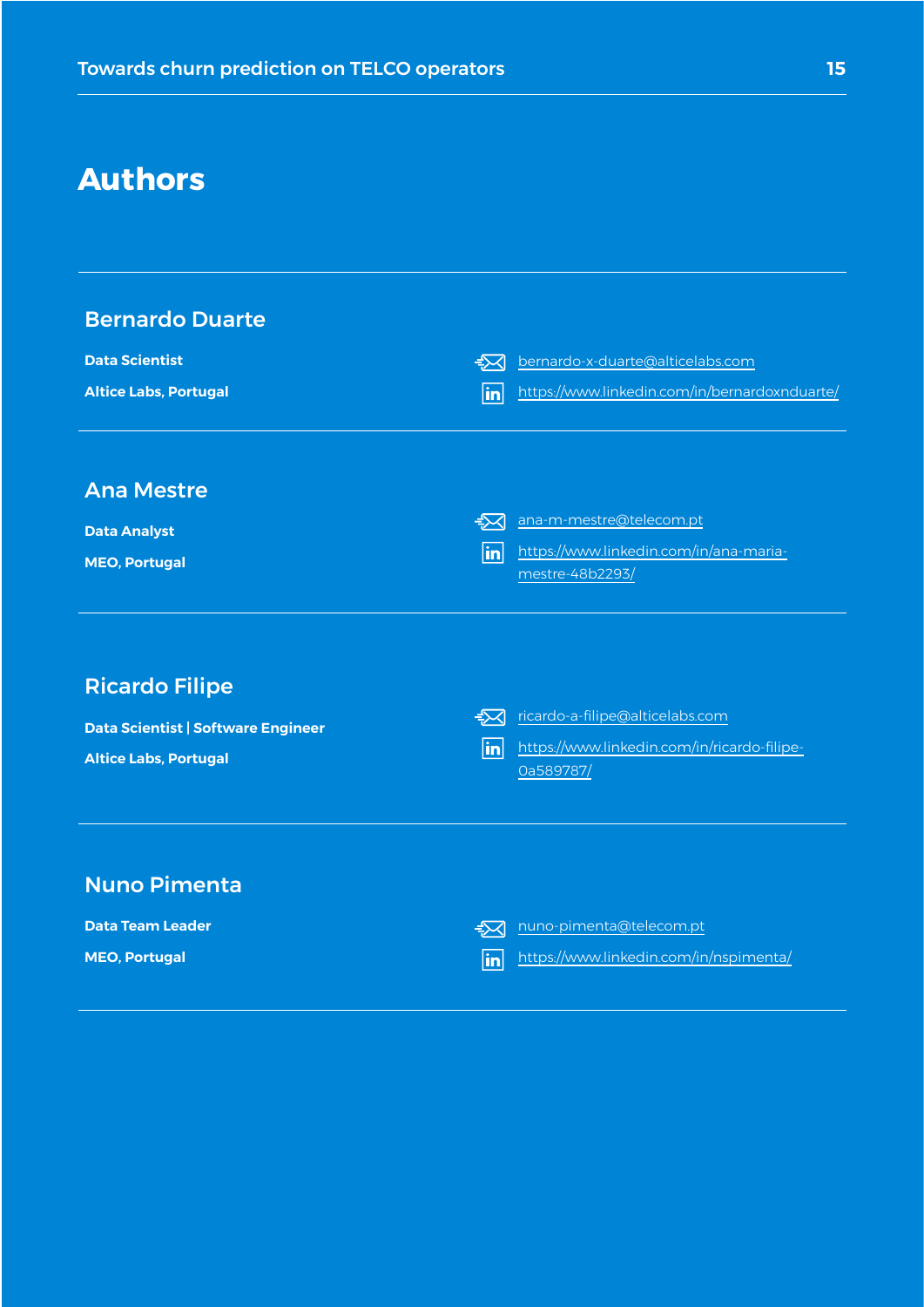# **Authors**

| <b>Bernardo Duarte</b><br><b>Data Scientist</b><br><b>Altice Labs, Portugal</b>                    | bernardo-x-duarte@alticelabs.com<br>$\Rightarrow$<br>in<br>https://www.linkedin.com/in/bernardoxnduarte/                    |
|----------------------------------------------------------------------------------------------------|-----------------------------------------------------------------------------------------------------------------------------|
| <b>Ana Mestre</b><br><b>Data Analyst</b><br><b>MEO, Portugal</b>                                   | ana-m-mestre@telecom.pt<br>$\Rightarrow$<br>https://www.linkedin.com/in/ana-maria-<br>$\vert$ in $\vert$<br>mestre-48b2293/ |
| <b>Ricardo Filipe</b><br><b>Data Scientist   Software Engineer</b><br><b>Altice Labs, Portugal</b> | $\approx$<br>ricardo-a-filipe@alticelabs.com<br>in<br>https://www.linkedin.com/in/ricardo-filipe-<br>Oa589787/              |
| <b>Nuno Pimenta</b><br><b>Data Team Leader</b><br><b>MEO, Portugal</b>                             | nuno-pimenta@telecom.pt<br>$\rightarrow$<br>https://www.linkedin.com/in/nspimenta/<br>in                                    |